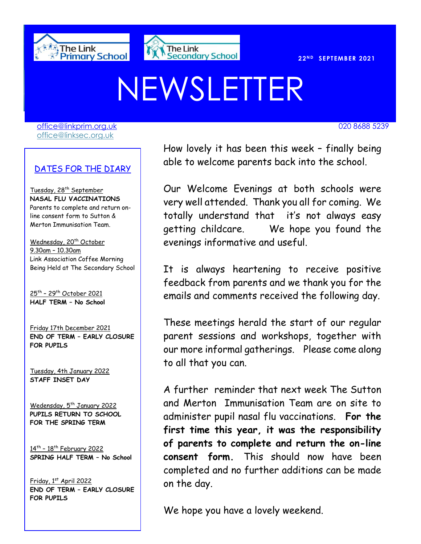



# NEWSLETTER

[office@linkprim.org.uk](mailto:office@linkprim.org.uk) 020 8688 5239 office@linksec.org.uk

#### DATES FOR THE DIARY

Tuesday, 28<sup>th</sup> September **NASAL FLU VACCINATIONS** Parents to complete and return online consent form to Sutton & Merton Immunisation Team.

Wednesday, 20<sup>th</sup> October 9.30am – 10.30am Link Association Coffee Morning Being Held at The Secondary School

<u>25th – 29th October 2021</u> **HALF TERM – No School**

Friday 17th December 2021 **END OF TERM – EARLY CLOSURE FOR PUPILS**

Tuesday, 4th January 2022 **STAFF INSET DAY**

Wedensday, 5<sup>th</sup> January 2022 **PUPILS RETURN TO SCHOOL FOR THE SPRING TERM**

14th – 18th February 2022 **SPRING HALF TERM – No School**

Friday, 1st April 2022 **END OF TERM – EARLY CLOSURE FOR PUPILS**

How lovely it has been this week - finally being able to welcome parents back into the school.

> Our Welcome Evenings at both schools were very well attended. Thank you all for coming. We totally understand that it's not always easy getting childcare. We hope you found the evenings informative and useful.

> It is always heartening to receive positive feedback from parents and we thank you for the emails and comments received the following day.

> These meetings herald the start of our regular parent sessions and workshops, together with our more informal gatherings. Please come along to all that you can.

> A further reminder that next week The Sutton and Merton Immunisation Team are on site to administer pupil nasal flu vaccinations. **For the first time this year, it was the responsibility of parents to complete and return the on-line consent form.** This should now have been completed and no further additions can be made on the day.

We hope you have a lovely weekend.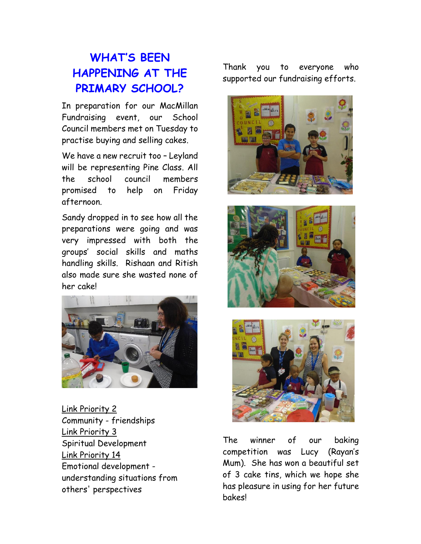# **WHAT'S BEEN HAPPENING AT THE PRIMARY SCHOOL?**

In preparation for our MacMillan Fundraising event, our School Council members met on Tuesday to practise buying and selling cakes.

We have a new recruit too – Leyland will be representing Pine Class. All the school council members promised to help on Friday afternoon.

Sandy dropped in to see how all the preparations were going and was very impressed with both the groups' social skills and maths handling skills. Rishaan and Ritish also made sure she wasted none of her cake!



Link Priority 2 Community - friendships Link Priority 3 Spiritual Development Link Priority 14 Emotional development understanding situations from others' perspectives

Thank you to everyone who supported our fundraising efforts.







The winner of our baking competition was Lucy (Rayan's Mum). She has won a beautiful set of 3 cake tins, which we hope she has pleasure in using for her future bakes!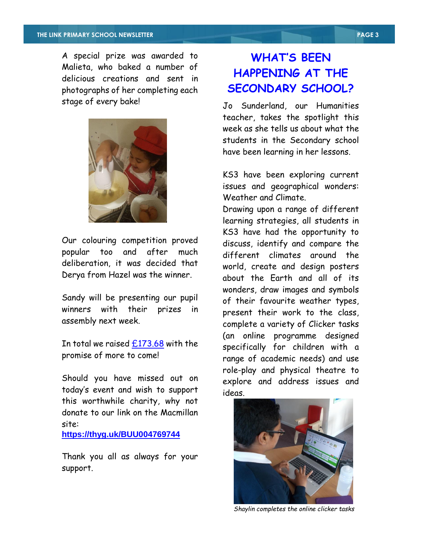A special prize was awarded to Malieta, who baked a number of delicious creations and sent in photographs of her completing each stage of every bake!



Our colouring competition proved popular too and after much deliberation, it was decided that Derya from Hazel was the winner.

Sandy will be presenting our pupil winners with their prizes in assembly next week.

In total we raised  $£173.68$  with the promise of more to come!

Should you have missed out on today's event and wish to support this worthwhile charity, why not donate to our link on the Macmillan site:

**[https://thyg.uk/BUU004769744](https://scanner.topsec.com/?u=https%3A%2F%2Fthyg.uk%2FBUU004769744&d=1884&r=show&t=566d1f4d9270e75390e95365614e5812271c49c6)**

Thank you all as always for your support.

## **WHAT'S BEEN HAPPENING AT THE SECONDARY SCHOOL?**

Jo Sunderland, our Humanities teacher, takes the spotlight this week as she tells us about what the students in the Secondary school have been learning in her lessons.

KS3 have been exploring current issues and geographical wonders: Weather and Climate.

Drawing upon a range of different learning strategies, all students in KS3 have had the opportunity to discuss, identify and compare the different climates around the world, create and design posters about the Earth and all of its wonders, draw images and symbols of their favourite weather types, present their work to the class, complete a variety of Clicker tasks (an online programme designed specifically for children with a range of academic needs) and use role-play and physical theatre to explore and address issues and ideas.



 *Shaylin completes the online clicker tasks*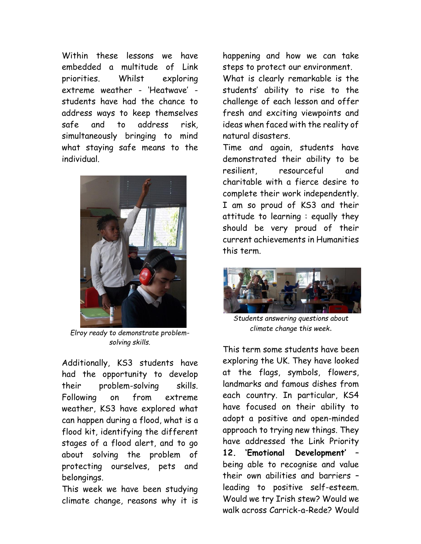Within these lessons we have embedded a multitude of Link priorities. Whilst exploring extreme weather - 'Heatwave' students have had the chance to address ways to keep themselves safe and to address risk*,*  simultaneously bringing to mind what staying safe means to the individual*.*



*Elroy ready to demonstrate problemsolving skills.*

Additionally, KS3 students have had the opportunity to develop their problem-solving skills. Following on from extreme weather, KS3 have explored what can happen during a flood, what is a flood kit, identifying the different stages of a flood alert, and to go about solving the problem of protecting ourselves, pets and belongings.

This week we have been studying climate change, reasons why it is happening and how we can take steps to protect our environment. What is clearly remarkable is the students' ability to rise to the challenge of each lesson and offer fresh and exciting viewpoints and ideas when faced with the reality of natural disasters.

Time and again, students have demonstrated their ability to be resilient, resourceful and charitable with a fierce desire to complete their work independently. I am so proud of KS3 and their attitude to learning : equally they should be very proud of their current achievements in Humanities this term.



*Students answering questions about climate change this week*.

This term some students have been exploring the UK. They have looked at the flags, symbols, flowers, landmarks and famous dishes from each country. In particular, KS4 have focused on their ability to adopt a positive and open-minded approach to trying new things. They have addressed the Link Priority **12. 'Emotional Development'** – being able to recognise and value their own abilities and barriers – leading to positive self-esteem. Would we try Irish stew? Would we walk across Carrick-a-Rede? Would